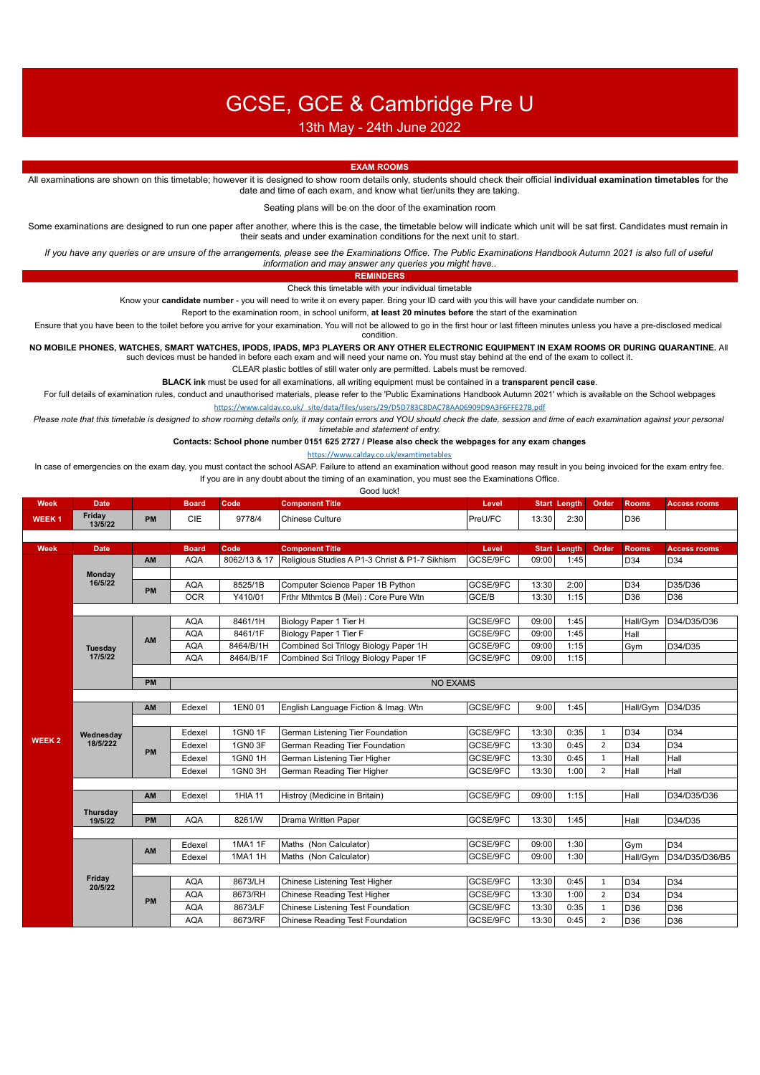## GCSE, GCE & Cambridge Pre U

13th May - 24th June 2022

## **EXAM ROOMS**

All examinations are shown on this timetable; however it is designed to show room details only, students should check their official **individual examination timetables** for the date and time of each exam, and know what tier/units they are taking.

Seating plans will be on the door of the examination room

Some examinations are designed to run one paper after another, where this is the case, the timetable below will indicate which unit will be sat first. Candidates must remain in their seats and under examination conditions for the next unit to start.

*If you have any queries or are unsure of the arrangements, please see the Examinations Office. The Public Examinations Handbook Autumn 2021 is also full of useful information and may answer any queries you might have..*

**REMINDERS**

Check this timetable with your individual timetable

Know your **candidate number** - you will need to write it on every paper. Bring your ID card with you this will have your candidate number on.

Report to the examination room, in school uniform, **at least 20 minutes before** the start of the examination

Ensure that you have been to the toilet before you arrive for your examination. You will not be allowed to go in the first hour or last fifteen minutes unless you have a pre-disclosed medical condition.

## **NO MOBILE PHONES, WATCHES, SMART WATCHES, IPODS, IPADS, MP3 PLAYERS OR ANY OTHER ELECTRONIC EQUIPMENT IN EXAM ROOMS OR DURING QUARANTINE.** All

such devices must be handed in before each exam and will need your name on. You must stay behind at the end of the exam to collect it.

CLEAR plastic bottles of still water only are permitted. Labels must be removed.

**BLACK ink** must be used for all examinations, all writing equipment must be contained in a **transparent pencil case**.

For full details of examination rules, conduct and unauthorised materials, please refer to the 'Public Examinations Handbook Autumn 2021' which is available on the School webpages

https://www.calday.co.uk/\_site/data/files/users/29/D5D783C8DAC78AA06909D9A3F6FFE27B.pdf

**Week Date Board Code Component Title Level Start Length Order Rooms Access rooms**

Please note that this timetable is designed to show rooming details only, it may contain errors and YOU should check the date, session and time of each examination against your personal *timetable and statement of entry.*

**Contacts: School phone number 0151 625 2727 / Please also check the webpages for any exam changes**

https://www.calday.co.uk/examtimetables

In case of emergencies on the exam day, you must contact the school ASAP. Failure to attend an examination without good reason may result in you being invoiced for the exam entry fee. If you are in any doubt about the timing of an examination, you must see the Examinations Office.

Good luck!

| <b>WEEK1</b> | Friday<br>13/5/22     | <b>PM</b> | CIE          | 9778/4         | <b>Chinese Culture</b>                         | PreU/FC  | 13:30 | 2:30                |                | D36          |                     |  |  |  |
|--------------|-----------------------|-----------|--------------|----------------|------------------------------------------------|----------|-------|---------------------|----------------|--------------|---------------------|--|--|--|
|              |                       |           |              |                |                                                |          |       |                     |                |              |                     |  |  |  |
| Week         | <b>Date</b>           |           | <b>Board</b> | Code           | <b>Component Title</b>                         | Level    |       | <b>Start Length</b> | Order          | <b>Rooms</b> | <b>Access rooms</b> |  |  |  |
|              |                       | AM        | <b>AQA</b>   | 8062/13 & 17   | Religious Studies A P1-3 Christ & P1-7 Sikhism | GCSE/9FC | 09:00 | 1:45                |                | D34          | D34                 |  |  |  |
|              | Monday                |           |              |                |                                                |          |       |                     |                |              |                     |  |  |  |
|              | 16/5/22               | <b>PM</b> | <b>AQA</b>   | 8525/1B        | Computer Science Paper 1B Python               | GCSE/9FC | 13:30 | 2:00                |                | D34          | D35/D36             |  |  |  |
|              |                       |           | <b>OCR</b>   | Y410/01        | Frthr Mthmtcs B (Mei) : Core Pure Wtn          | GCE/B    | 13:30 | 1:15                |                | D36          | D36                 |  |  |  |
|              |                       |           |              |                |                                                |          |       |                     |                |              |                     |  |  |  |
|              |                       |           | <b>AQA</b>   | 8461/1H        | Biology Paper 1 Tier H                         | GCSE/9FC | 09:00 | 1:45                |                | Hall/Gym     | D34/D35/D36         |  |  |  |
|              |                       | AM        | <b>AQA</b>   | 8461/1F        | Biology Paper 1 Tier F                         | GCSE/9FC | 09:00 | 1:45                |                | Hall         |                     |  |  |  |
|              | Tuesday               |           | <b>AQA</b>   | 8464/B/1H      | Combined Sci Trilogy Biology Paper 1H          | GCSE/9FC | 09:00 | 1:15                |                | Gym          | D34/D35             |  |  |  |
|              | 17/5/22               |           | <b>AQA</b>   | 8464/B/1F      | Combined Sci Trilogy Biology Paper 1F          | GCSE/9FC | 09:00 | 1:15                |                |              |                     |  |  |  |
|              |                       |           |              |                |                                                |          |       |                     |                |              |                     |  |  |  |
|              |                       | PM        |              |                | <b>NO EXAMS</b>                                |          |       |                     |                |              |                     |  |  |  |
|              |                       |           |              |                |                                                |          |       |                     |                |              |                     |  |  |  |
|              |                       | AM        | Edexel       | 1EN0 01        | English Language Fiction & Imag. Wtn           | GCSE/9FC | 9:00  | 1:45                |                | Hall/Gym     | D34/D35             |  |  |  |
|              |                       |           |              |                |                                                |          |       |                     |                |              |                     |  |  |  |
|              | Wednesday<br>18/5/222 |           | Edexel       | <b>1GN0 1F</b> | German Listening Tier Foundation               | GCSE/9FC | 13:30 | 0:35                | $\mathbf{1}$   | D34          | D34                 |  |  |  |
| <b>WEEK2</b> |                       | PM        | Edexel       | <b>1GN0 3F</b> | German Reading Tier Foundation                 | GCSE/9FC | 13:30 | 0:45                | $\overline{2}$ | D34          | D34                 |  |  |  |
|              |                       |           | Edexel       | <b>1GN0 1H</b> | German Listening Tier Higher                   | GCSE/9FC | 13:30 | 0:45                | $\mathbf{1}$   | Hall         | Hall                |  |  |  |
|              |                       |           | Edexel       | 1GN03H         | German Reading Tier Higher                     | GCSE/9FC | 13:30 | 1:00                | $\overline{2}$ | Hall         | Hall                |  |  |  |
|              |                       |           |              |                |                                                |          |       |                     |                |              |                     |  |  |  |
|              |                       | AM        | Edexel       | 1HIA 11        | Histroy (Medicine in Britain)                  | GCSE/9FC | 09:00 | 1:15                |                | Hall         | D34/D35/D36         |  |  |  |
|              | <b>Thursday</b>       |           |              |                |                                                |          |       |                     |                |              |                     |  |  |  |
|              | 19/5/22               | PM        | <b>AQA</b>   | 8261/W         | Drama Written Paper                            | GCSE/9FC | 13:30 | 1:45                |                | Hall         | D34/D35             |  |  |  |
|              |                       |           |              |                |                                                |          |       |                     |                |              |                     |  |  |  |
|              |                       | AM        | Edexel       | 1MA1 1F        | Maths (Non Calculator)                         | GCSE/9FC | 09:00 | 1:30                |                | Gym          | D <sub>34</sub>     |  |  |  |
|              |                       |           | Edexel       | 1MA1 1H        | Maths (Non Calculator)                         | GCSE/9FC | 09:00 | 1:30                |                | Hall/Gym     | D34/D35/D36/B5      |  |  |  |
|              |                       |           |              |                |                                                |          |       |                     |                |              |                     |  |  |  |
|              | Friday<br>20/5/22     |           | <b>AQA</b>   | 8673/LH        | Chinese Listening Test Higher                  | GCSE/9FC | 13:30 | 0:45                | $\mathbf{1}$   | D34          | D34                 |  |  |  |
|              |                       | PM        | <b>AQA</b>   | 8673/RH        | Chinese Reading Test Higher                    | GCSE/9FC | 13:30 | 1:00                | $\overline{2}$ | D34          | D34                 |  |  |  |
|              |                       |           | <b>AQA</b>   | 8673/LF        | Chinese Listening Test Foundation              | GCSE/9FC | 13:30 | 0:35                | $\mathbf{1}$   | D36          | D36                 |  |  |  |
|              |                       |           | <b>AQA</b>   | 8673/RF        | Chinese Reading Test Foundation                | GCSE/9FC | 13:30 | 0:45                | $\overline{2}$ | D36          | D36                 |  |  |  |
|              |                       |           |              |                |                                                |          |       |                     |                |              |                     |  |  |  |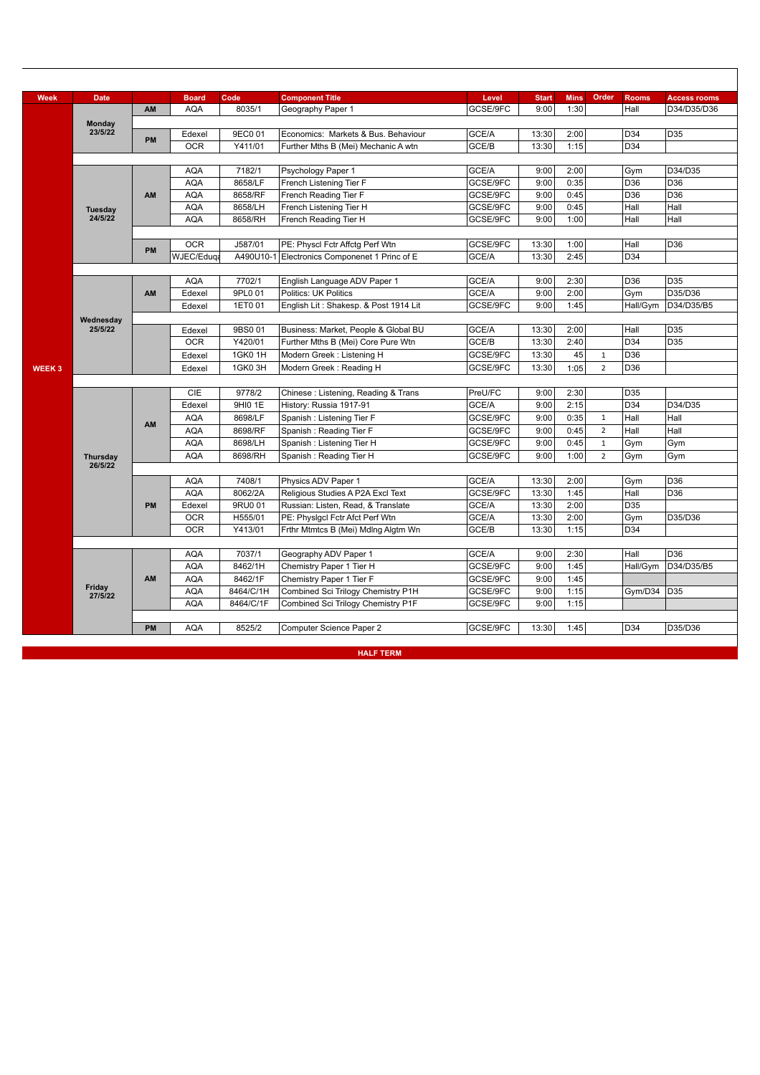| Week         | <b>Date</b>                |           | <b>Board</b> | Code      | <b>Component Title</b>                        | Level    | <b>Start</b> | <b>Mins</b> | Order          | <b>Rooms</b>    | <b>Access rooms</b> |
|--------------|----------------------------|-----------|--------------|-----------|-----------------------------------------------|----------|--------------|-------------|----------------|-----------------|---------------------|
|              |                            | AM        | <b>AQA</b>   | 8035/1    | Geography Paper 1                             | GCSE/9FC | 9:00         | 1:30        |                | Hall            | D34/D35/D36         |
|              | <b>Monday</b>              |           |              |           |                                               |          |              |             |                |                 |                     |
|              | 23/5/22                    | <b>PM</b> | Edexel       | 9EC0 01   | Economics: Markets & Bus. Behaviour           | GCE/A    | 13:30        | 2:00        |                | D <sub>34</sub> | D35                 |
|              |                            |           | <b>OCR</b>   | Y411/01   | Further Mths B (Mei) Mechanic A wtn           | GCE/B    | 13:30        | 1:15        |                | D <sub>34</sub> |                     |
|              |                            |           |              |           |                                               |          |              |             |                |                 |                     |
|              |                            |           | <b>AQA</b>   | 7182/1    | Psychology Paper 1                            | GCE/A    | 9:00         | 2:00        |                | Gym             | D34/D35             |
|              |                            |           | <b>AQA</b>   | 8658/LF   | French Listening Tier F                       | GCSE/9FC | 9:00         | 0:35        |                | D <sub>36</sub> | D36                 |
|              |                            | AM        | <b>AQA</b>   | 8658/RF   | French Reading Tier F                         | GCSE/9FC | 9:00         | 0:45        |                | D36             | D36                 |
|              | Tuesday                    |           | <b>AQA</b>   | 8658/LH   | French Listening Tier H                       | GCSE/9FC | 9:00         | 0:45        |                | Hall            | Hall                |
|              | 24/5/22                    |           | AQA          | 8658/RH   | l French Reading Tier H                       | GCSE/9FC | 9:00         | 1:00        |                | Hall            | Hall                |
|              |                            |           |              |           |                                               |          |              |             |                |                 |                     |
|              |                            | <b>PM</b> | <b>OCR</b>   | J587/01   | PE: Physcl Fctr Affctg Perf Wtn               | GCSE/9FC | 13:30        | 1:00        |                | Hall            | D36                 |
|              |                            |           | WJEC/Eduga   |           | A490U10-1 Electronics Componenet 1 Princ of E | GCE/A    | 13:30        | 2:45        |                | D <sub>34</sub> |                     |
|              |                            |           |              |           |                                               |          |              |             |                |                 |                     |
|              |                            |           | <b>AQA</b>   | 7702/1    | English Language ADV Paper 1                  | GCE/A    | 9:00         | 2:30        |                | D36             | D35                 |
|              |                            | <b>AM</b> | Edexel       | 9PL0 01   | <b>Politics: UK Politics</b>                  | GCE/A    | 9:00         | 2:00        |                | Gym             | D35/D36             |
|              |                            |           | Edexel       | 1ET0 01   | English Lit: Shakesp. & Post 1914 Lit         | GCSE/9FC | 9:00         | 1:45        |                | Hall/Gym        | D34/D35/B5          |
|              | Wednesday                  |           |              |           |                                               |          |              |             |                |                 |                     |
|              | 25/5/22                    |           | Edexel       | 9BS0 01   | Business: Market, People & Global BU          | GCE/A    | 13:30        | 2:00        |                | Hall            | D35                 |
|              |                            |           | <b>OCR</b>   | Y420/01   | Further Mths B (Mei) Core Pure Wtn            | GCE/B    | 13:30        | 2:40        |                | D <sub>34</sub> | D35                 |
|              |                            |           | Edexel       | 1GK0 1H   | Modern Greek : Listening H                    | GCSE/9FC | 13:30        | 45          | $\mathbf{1}$   | D36             |                     |
| <b>WEEK3</b> |                            |           | Edexel       | 1GK0 3H   | Modern Greek: Reading H                       | GCSE/9FC | 13:30        | 1:05        | $\overline{2}$ | D <sub>36</sub> |                     |
|              |                            |           |              |           |                                               |          |              |             |                |                 |                     |
|              |                            |           | <b>CIE</b>   | 9778/2    | Chinese: Listening, Reading & Trans           | PreU/FC  | 9:00         | 2:30        |                | D35             |                     |
|              |                            |           | Edexel       | 9HI0 1E   | History: Russia 1917-91                       | GCE/A    | 9:00         | 2:15        |                | D34             | D34/D35             |
|              |                            | <b>AM</b> | <b>AQA</b>   | 8698/LF   | Spanish : Listening Tier F                    | GCSE/9FC | 9:00         | 0:35        | $\mathbf{1}$   | Hall            | Hall                |
|              |                            |           | <b>AQA</b>   | 8698/RF   | Spanish: Reading Tier F                       | GCSE/9FC | 9:00         | 0:45        | $\overline{2}$ | Hall            | Hall                |
|              |                            |           | <b>AQA</b>   | 8698/LH   | Spanish: Listening Tier H                     | GCSE/9FC | 9:00         | 0:45        | $\mathbf{1}$   | Gym             | Gym                 |
|              | <b>Thursday</b><br>26/5/22 |           | <b>AQA</b>   | 8698/RH   | Spanish: Reading Tier H                       | GCSE/9FC | 9:00         | 1:00        | $\overline{2}$ | Gym             | Gym                 |
|              |                            |           |              |           |                                               |          |              |             |                |                 |                     |
|              |                            |           | <b>AQA</b>   | 7408/1    | Physics ADV Paper 1                           | GCE/A    | 13:30        | 2:00        |                | Gym             | D36                 |
|              |                            |           | <b>AQA</b>   | 8062/2A   | Religious Studies A P2A Excl Text             | GCSE/9FC | 13:30        | 1:45        |                | Hall            | D36                 |
|              |                            | PM        | Edexel       | 9RU0 01   | Russian: Listen, Read, & Translate            | GCE/A    | 13:30        | 2:00        |                | D <sub>35</sub> |                     |
|              |                            |           | <b>OCR</b>   | H555/01   | PE: Physigcl Fctr Afct Perf Wtn               | GCE/A    | 13:30        | 2:00        |                | Gym             | D35/D36             |
|              |                            |           | <b>OCR</b>   | Y413/01   | Frthr Mtmtcs B (Mei) Mdlng Algtm Wn           | GCE/B    | 13:30        | 1:15        |                | D <sub>34</sub> |                     |
|              |                            |           |              |           |                                               |          |              |             |                |                 |                     |
|              |                            |           | <b>AQA</b>   | 7037/1    | Geography ADV Paper 1                         | GCE/A    | 9:00         | 2:30        |                | Hall            | D36                 |
|              | Friday                     |           | <b>AQA</b>   | 8462/1H   | Chemistry Paper 1 Tier H                      | GCSE/9FC | 9:00         | 1:45        |                | Hall/Gym        | D34/D35/B5          |
|              |                            | AM        | <b>AQA</b>   | 8462/1F   | Chemistry Paper 1 Tier F                      | GCSE/9FC | 9:00         | 1:45        |                |                 |                     |
|              | 27/5/22                    |           | <b>AQA</b>   | 8464/C/1H | Combined Sci Trilogy Chemistry P1H            | GCSE/9FC | 9:00         | 1:15        |                | Gym/D34         | D35                 |
|              |                            |           | <b>AQA</b>   | 8464/C/1F | Combined Sci Trilogy Chemistry P1F            | GCSE/9FC | 9:00         | 1:15        |                |                 |                     |
|              |                            |           |              |           |                                               |          |              |             |                |                 |                     |
|              |                            | <b>PM</b> | <b>AQA</b>   | 8525/2    | Computer Science Paper 2                      | GCSE/9FC | 13:30        | 1:45        |                | D34             | D35/D36             |
|              |                            |           |              |           |                                               |          |              |             |                |                 |                     |

**HALF TERM**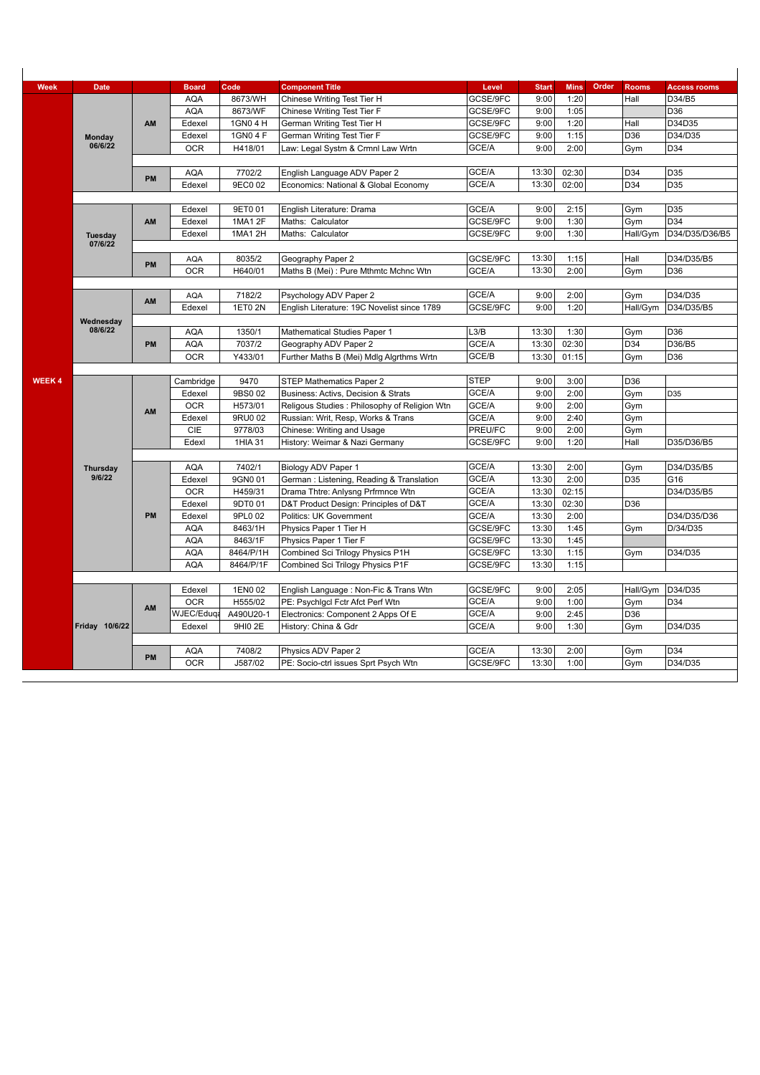| Order<br><b>Board</b><br>Code<br><b>Component Title</b><br>Level<br><b>Start</b><br><b>Mins</b><br><b>Access rooms</b><br><b>Week</b><br><b>Rooms</b><br><b>Date</b><br>GCSE/9FC<br>9:00<br>1:20<br>Hall<br><b>AQA</b><br>8673/WH<br>Chinese Writing Test Tier H<br>D34/B5<br><b>AQA</b><br>8673/WF<br>GCSE/9FC<br>1:05<br>D36<br>Chinese Writing Test Tier F<br>9:00<br>GCSE/9FC<br>1:20<br>AM<br>Edexel<br>German Writing Test Tier H<br>9:00<br>D34D35<br>1GN0 4 H<br>Hall<br>1GN0 4 F<br>GCSE/9FC<br>1:15<br>D36<br>Edexel<br>German Writing Test Tier F<br>D34/D35<br>9:00<br><b>Monday</b><br>06/6/22<br>GCE/A<br>2:00<br><b>OCR</b><br>9:00<br>D34<br>H418/01<br>Law: Legal Systm & Crmnl Law Wrtn<br>Gym<br><b>AQA</b><br>7702/2<br>English Language ADV Paper 2<br>GCE/A<br>13:30<br>02:30<br>D34<br>D35<br><b>PM</b><br>GCE/A<br>13:30<br>02:00<br>D34<br>Edexel<br>9EC0 02<br>Economics: National & Global Economy<br>D35<br>9ET0 01<br>GCE/A<br>9:00<br>2:15<br>D35<br>Edexel<br>English Literature: Drama<br>Gym<br>Edexel<br>GCSE/9FC<br>9:00<br>1:30<br>Gym<br>D <sub>34</sub><br><b>AM</b><br><b>1MA1 2F</b><br>Maths: Calculator<br>1:30<br>Edexel<br>1MA1 2H<br>Maths: Calculator<br>GCSE/9FC<br>9:00<br>Hall/Gym<br>D34/D35/D36/B5<br>Tuesday<br>07/6/22<br>13:30<br>8035/2<br>Geography Paper 2<br>GCSE/9FC<br>1:15<br>Hall<br>D34/D35/B5<br><b>AQA</b><br><b>PM</b><br><b>OCR</b><br>D36<br>H640/01<br>Maths B (Mei): Pure Mthmtc Mchnc Wtn<br>GCE/A<br>13:30<br>2:00<br>Gym<br>7182/2<br>GCE/A<br>2:00<br><b>AQA</b><br>Psychology ADV Paper 2<br>9:00<br>Gym<br>D34/D35<br>AM<br><b>1ET0 2N</b><br>English Literature: 19C Novelist since 1789<br>GCSE/9FC<br>9:00<br>1:20<br>D34/D35/B5<br>Edexel<br>Hall/Gym<br>Wednesday<br>08/6/22<br>1350/1<br>L3/B<br>13:30<br>1:30<br>D36<br><b>AQA</b><br>Mathematical Studies Paper 1<br>Gym<br>GCE/A<br>02:30<br>D34<br><b>PM</b><br><b>AQA</b><br>7037/2<br>Geography ADV Paper 2<br>13:30<br>D36/B5<br>GCE/B<br><b>OCR</b><br>Y433/01<br>13:30<br>01:15<br>D36<br>Further Maths B (Mei) Mdlg Algrthms Wrtn<br>Gym<br><b>STEP</b><br>9470<br>9:00<br>3:00<br>D36<br>Cambridge<br>STEP Mathematics Paper 2<br><b>WEEK4</b><br>GCE/A<br>2:00<br>Edexel<br>9BS0 02<br>Business: Activs, Decision & Strats<br>9:00<br>Gym<br>D35<br>GCE/A<br>H573/01<br>2:00<br>Gym<br><b>OCR</b><br>Religous Studies: Philosophy of Religion Wtn<br>9:00<br><b>AM</b><br>Edexel<br>9RU0 02<br>Russian: Writ, Resp, Works & Trans<br>GCE/A<br>2:40<br>Gym<br>9:00<br>CIE<br>9778/03<br>PREU/FC<br>2:00<br>Chinese: Writing and Usage<br>9:00<br>Gym<br>GCSE/9FC<br>1:20<br>Hall<br>Edexl<br>1HIA 31<br>History: Weimar & Nazi Germany<br>9:00<br>D35/D36/B5<br>7402/1<br>GCE/A<br>13:30<br>2:00<br><b>AQA</b><br>Biology ADV Paper 1<br>Gym<br>D34/D35/B5<br><b>Thursday</b><br>9/6/22<br>GCE/A<br>13:30<br>2:00<br>D35<br>Edexel<br>9GN0 01<br>German: Listening, Reading & Translation<br>G16<br>GCE/A<br><b>OCR</b><br>02:15<br>H459/31<br>Drama Thtre: Anlysng Prfrmnce Wtn<br>13:30<br>D34/D35/B5<br>GCE/A<br>Edexel<br>13:30<br>02:30<br>D36<br>9DT0 01<br>D&T Product Design: Principles of D&T<br>GCE/A<br>13:30<br>2:00<br><b>PM</b><br>Edexel<br>9PL0 02<br>Politics: UK Government<br>D34/D35/D36<br>13:30<br>1:45<br><b>AQA</b><br>8463/1H<br>Physics Paper 1 Tier H<br>GCSE/9FC<br>D/34/D35<br>Gym<br>1:45<br>GCSE/9FC<br><b>AQA</b><br>8463/1F<br>Physics Paper 1 Tier F<br>13:30<br><b>AQA</b><br>8464/P/1H<br>Combined Sci Trilogy Physics P1H<br>GCSE/9FC<br>13:30<br>1:15<br>D34/D35<br>Gym<br>1:15<br><b>AQA</b><br>8464/P/1F<br>Combined Sci Trilogy Physics P1F<br>GCSE/9FC<br>13:30<br>2:05<br>Edexel<br>1EN0 02<br>English Language: Non-Fic & Trans Wtn<br>GCSE/9FC<br>9:00<br>Hall/Gym<br>D34/D35 |  |  |           |  |  |  |  |  |
|--------------------------------------------------------------------------------------------------------------------------------------------------------------------------------------------------------------------------------------------------------------------------------------------------------------------------------------------------------------------------------------------------------------------------------------------------------------------------------------------------------------------------------------------------------------------------------------------------------------------------------------------------------------------------------------------------------------------------------------------------------------------------------------------------------------------------------------------------------------------------------------------------------------------------------------------------------------------------------------------------------------------------------------------------------------------------------------------------------------------------------------------------------------------------------------------------------------------------------------------------------------------------------------------------------------------------------------------------------------------------------------------------------------------------------------------------------------------------------------------------------------------------------------------------------------------------------------------------------------------------------------------------------------------------------------------------------------------------------------------------------------------------------------------------------------------------------------------------------------------------------------------------------------------------------------------------------------------------------------------------------------------------------------------------------------------------------------------------------------------------------------------------------------------------------------------------------------------------------------------------------------------------------------------------------------------------------------------------------------------------------------------------------------------------------------------------------------------------------------------------------------------------------------------------------------------------------------------------------------------------------------------------------------------------------------------------------------------------------------------------------------------------------------------------------------------------------------------------------------------------------------------------------------------------------------------------------------------------------------------------------------------------------------------------------------------------------------------------------------------------------------------------------------------------------------------------------------------------------------------------------------------------------------------------------------------------------------------------------------------------------------------------------------------------------------------------------------------------------------------------------------------------------------------------------------------------------------------------------------------------------------------------------------------------------------------------------------------------------------------------------------------------|--|--|-----------|--|--|--|--|--|
|                                                                                                                                                                                                                                                                                                                                                                                                                                                                                                                                                                                                                                                                                                                                                                                                                                                                                                                                                                                                                                                                                                                                                                                                                                                                                                                                                                                                                                                                                                                                                                                                                                                                                                                                                                                                                                                                                                                                                                                                                                                                                                                                                                                                                                                                                                                                                                                                                                                                                                                                                                                                                                                                                                                                                                                                                                                                                                                                                                                                                                                                                                                                                                                                                                                                                                                                                                                                                                                                                                                                                                                                                                                                                                                                                                          |  |  |           |  |  |  |  |  |
|                                                                                                                                                                                                                                                                                                                                                                                                                                                                                                                                                                                                                                                                                                                                                                                                                                                                                                                                                                                                                                                                                                                                                                                                                                                                                                                                                                                                                                                                                                                                                                                                                                                                                                                                                                                                                                                                                                                                                                                                                                                                                                                                                                                                                                                                                                                                                                                                                                                                                                                                                                                                                                                                                                                                                                                                                                                                                                                                                                                                                                                                                                                                                                                                                                                                                                                                                                                                                                                                                                                                                                                                                                                                                                                                                                          |  |  |           |  |  |  |  |  |
|                                                                                                                                                                                                                                                                                                                                                                                                                                                                                                                                                                                                                                                                                                                                                                                                                                                                                                                                                                                                                                                                                                                                                                                                                                                                                                                                                                                                                                                                                                                                                                                                                                                                                                                                                                                                                                                                                                                                                                                                                                                                                                                                                                                                                                                                                                                                                                                                                                                                                                                                                                                                                                                                                                                                                                                                                                                                                                                                                                                                                                                                                                                                                                                                                                                                                                                                                                                                                                                                                                                                                                                                                                                                                                                                                                          |  |  |           |  |  |  |  |  |
|                                                                                                                                                                                                                                                                                                                                                                                                                                                                                                                                                                                                                                                                                                                                                                                                                                                                                                                                                                                                                                                                                                                                                                                                                                                                                                                                                                                                                                                                                                                                                                                                                                                                                                                                                                                                                                                                                                                                                                                                                                                                                                                                                                                                                                                                                                                                                                                                                                                                                                                                                                                                                                                                                                                                                                                                                                                                                                                                                                                                                                                                                                                                                                                                                                                                                                                                                                                                                                                                                                                                                                                                                                                                                                                                                                          |  |  |           |  |  |  |  |  |
|                                                                                                                                                                                                                                                                                                                                                                                                                                                                                                                                                                                                                                                                                                                                                                                                                                                                                                                                                                                                                                                                                                                                                                                                                                                                                                                                                                                                                                                                                                                                                                                                                                                                                                                                                                                                                                                                                                                                                                                                                                                                                                                                                                                                                                                                                                                                                                                                                                                                                                                                                                                                                                                                                                                                                                                                                                                                                                                                                                                                                                                                                                                                                                                                                                                                                                                                                                                                                                                                                                                                                                                                                                                                                                                                                                          |  |  |           |  |  |  |  |  |
|                                                                                                                                                                                                                                                                                                                                                                                                                                                                                                                                                                                                                                                                                                                                                                                                                                                                                                                                                                                                                                                                                                                                                                                                                                                                                                                                                                                                                                                                                                                                                                                                                                                                                                                                                                                                                                                                                                                                                                                                                                                                                                                                                                                                                                                                                                                                                                                                                                                                                                                                                                                                                                                                                                                                                                                                                                                                                                                                                                                                                                                                                                                                                                                                                                                                                                                                                                                                                                                                                                                                                                                                                                                                                                                                                                          |  |  |           |  |  |  |  |  |
|                                                                                                                                                                                                                                                                                                                                                                                                                                                                                                                                                                                                                                                                                                                                                                                                                                                                                                                                                                                                                                                                                                                                                                                                                                                                                                                                                                                                                                                                                                                                                                                                                                                                                                                                                                                                                                                                                                                                                                                                                                                                                                                                                                                                                                                                                                                                                                                                                                                                                                                                                                                                                                                                                                                                                                                                                                                                                                                                                                                                                                                                                                                                                                                                                                                                                                                                                                                                                                                                                                                                                                                                                                                                                                                                                                          |  |  |           |  |  |  |  |  |
|                                                                                                                                                                                                                                                                                                                                                                                                                                                                                                                                                                                                                                                                                                                                                                                                                                                                                                                                                                                                                                                                                                                                                                                                                                                                                                                                                                                                                                                                                                                                                                                                                                                                                                                                                                                                                                                                                                                                                                                                                                                                                                                                                                                                                                                                                                                                                                                                                                                                                                                                                                                                                                                                                                                                                                                                                                                                                                                                                                                                                                                                                                                                                                                                                                                                                                                                                                                                                                                                                                                                                                                                                                                                                                                                                                          |  |  |           |  |  |  |  |  |
|                                                                                                                                                                                                                                                                                                                                                                                                                                                                                                                                                                                                                                                                                                                                                                                                                                                                                                                                                                                                                                                                                                                                                                                                                                                                                                                                                                                                                                                                                                                                                                                                                                                                                                                                                                                                                                                                                                                                                                                                                                                                                                                                                                                                                                                                                                                                                                                                                                                                                                                                                                                                                                                                                                                                                                                                                                                                                                                                                                                                                                                                                                                                                                                                                                                                                                                                                                                                                                                                                                                                                                                                                                                                                                                                                                          |  |  |           |  |  |  |  |  |
|                                                                                                                                                                                                                                                                                                                                                                                                                                                                                                                                                                                                                                                                                                                                                                                                                                                                                                                                                                                                                                                                                                                                                                                                                                                                                                                                                                                                                                                                                                                                                                                                                                                                                                                                                                                                                                                                                                                                                                                                                                                                                                                                                                                                                                                                                                                                                                                                                                                                                                                                                                                                                                                                                                                                                                                                                                                                                                                                                                                                                                                                                                                                                                                                                                                                                                                                                                                                                                                                                                                                                                                                                                                                                                                                                                          |  |  |           |  |  |  |  |  |
|                                                                                                                                                                                                                                                                                                                                                                                                                                                                                                                                                                                                                                                                                                                                                                                                                                                                                                                                                                                                                                                                                                                                                                                                                                                                                                                                                                                                                                                                                                                                                                                                                                                                                                                                                                                                                                                                                                                                                                                                                                                                                                                                                                                                                                                                                                                                                                                                                                                                                                                                                                                                                                                                                                                                                                                                                                                                                                                                                                                                                                                                                                                                                                                                                                                                                                                                                                                                                                                                                                                                                                                                                                                                                                                                                                          |  |  |           |  |  |  |  |  |
|                                                                                                                                                                                                                                                                                                                                                                                                                                                                                                                                                                                                                                                                                                                                                                                                                                                                                                                                                                                                                                                                                                                                                                                                                                                                                                                                                                                                                                                                                                                                                                                                                                                                                                                                                                                                                                                                                                                                                                                                                                                                                                                                                                                                                                                                                                                                                                                                                                                                                                                                                                                                                                                                                                                                                                                                                                                                                                                                                                                                                                                                                                                                                                                                                                                                                                                                                                                                                                                                                                                                                                                                                                                                                                                                                                          |  |  |           |  |  |  |  |  |
|                                                                                                                                                                                                                                                                                                                                                                                                                                                                                                                                                                                                                                                                                                                                                                                                                                                                                                                                                                                                                                                                                                                                                                                                                                                                                                                                                                                                                                                                                                                                                                                                                                                                                                                                                                                                                                                                                                                                                                                                                                                                                                                                                                                                                                                                                                                                                                                                                                                                                                                                                                                                                                                                                                                                                                                                                                                                                                                                                                                                                                                                                                                                                                                                                                                                                                                                                                                                                                                                                                                                                                                                                                                                                                                                                                          |  |  |           |  |  |  |  |  |
|                                                                                                                                                                                                                                                                                                                                                                                                                                                                                                                                                                                                                                                                                                                                                                                                                                                                                                                                                                                                                                                                                                                                                                                                                                                                                                                                                                                                                                                                                                                                                                                                                                                                                                                                                                                                                                                                                                                                                                                                                                                                                                                                                                                                                                                                                                                                                                                                                                                                                                                                                                                                                                                                                                                                                                                                                                                                                                                                                                                                                                                                                                                                                                                                                                                                                                                                                                                                                                                                                                                                                                                                                                                                                                                                                                          |  |  |           |  |  |  |  |  |
|                                                                                                                                                                                                                                                                                                                                                                                                                                                                                                                                                                                                                                                                                                                                                                                                                                                                                                                                                                                                                                                                                                                                                                                                                                                                                                                                                                                                                                                                                                                                                                                                                                                                                                                                                                                                                                                                                                                                                                                                                                                                                                                                                                                                                                                                                                                                                                                                                                                                                                                                                                                                                                                                                                                                                                                                                                                                                                                                                                                                                                                                                                                                                                                                                                                                                                                                                                                                                                                                                                                                                                                                                                                                                                                                                                          |  |  |           |  |  |  |  |  |
|                                                                                                                                                                                                                                                                                                                                                                                                                                                                                                                                                                                                                                                                                                                                                                                                                                                                                                                                                                                                                                                                                                                                                                                                                                                                                                                                                                                                                                                                                                                                                                                                                                                                                                                                                                                                                                                                                                                                                                                                                                                                                                                                                                                                                                                                                                                                                                                                                                                                                                                                                                                                                                                                                                                                                                                                                                                                                                                                                                                                                                                                                                                                                                                                                                                                                                                                                                                                                                                                                                                                                                                                                                                                                                                                                                          |  |  |           |  |  |  |  |  |
|                                                                                                                                                                                                                                                                                                                                                                                                                                                                                                                                                                                                                                                                                                                                                                                                                                                                                                                                                                                                                                                                                                                                                                                                                                                                                                                                                                                                                                                                                                                                                                                                                                                                                                                                                                                                                                                                                                                                                                                                                                                                                                                                                                                                                                                                                                                                                                                                                                                                                                                                                                                                                                                                                                                                                                                                                                                                                                                                                                                                                                                                                                                                                                                                                                                                                                                                                                                                                                                                                                                                                                                                                                                                                                                                                                          |  |  |           |  |  |  |  |  |
|                                                                                                                                                                                                                                                                                                                                                                                                                                                                                                                                                                                                                                                                                                                                                                                                                                                                                                                                                                                                                                                                                                                                                                                                                                                                                                                                                                                                                                                                                                                                                                                                                                                                                                                                                                                                                                                                                                                                                                                                                                                                                                                                                                                                                                                                                                                                                                                                                                                                                                                                                                                                                                                                                                                                                                                                                                                                                                                                                                                                                                                                                                                                                                                                                                                                                                                                                                                                                                                                                                                                                                                                                                                                                                                                                                          |  |  |           |  |  |  |  |  |
|                                                                                                                                                                                                                                                                                                                                                                                                                                                                                                                                                                                                                                                                                                                                                                                                                                                                                                                                                                                                                                                                                                                                                                                                                                                                                                                                                                                                                                                                                                                                                                                                                                                                                                                                                                                                                                                                                                                                                                                                                                                                                                                                                                                                                                                                                                                                                                                                                                                                                                                                                                                                                                                                                                                                                                                                                                                                                                                                                                                                                                                                                                                                                                                                                                                                                                                                                                                                                                                                                                                                                                                                                                                                                                                                                                          |  |  |           |  |  |  |  |  |
|                                                                                                                                                                                                                                                                                                                                                                                                                                                                                                                                                                                                                                                                                                                                                                                                                                                                                                                                                                                                                                                                                                                                                                                                                                                                                                                                                                                                                                                                                                                                                                                                                                                                                                                                                                                                                                                                                                                                                                                                                                                                                                                                                                                                                                                                                                                                                                                                                                                                                                                                                                                                                                                                                                                                                                                                                                                                                                                                                                                                                                                                                                                                                                                                                                                                                                                                                                                                                                                                                                                                                                                                                                                                                                                                                                          |  |  |           |  |  |  |  |  |
|                                                                                                                                                                                                                                                                                                                                                                                                                                                                                                                                                                                                                                                                                                                                                                                                                                                                                                                                                                                                                                                                                                                                                                                                                                                                                                                                                                                                                                                                                                                                                                                                                                                                                                                                                                                                                                                                                                                                                                                                                                                                                                                                                                                                                                                                                                                                                                                                                                                                                                                                                                                                                                                                                                                                                                                                                                                                                                                                                                                                                                                                                                                                                                                                                                                                                                                                                                                                                                                                                                                                                                                                                                                                                                                                                                          |  |  |           |  |  |  |  |  |
|                                                                                                                                                                                                                                                                                                                                                                                                                                                                                                                                                                                                                                                                                                                                                                                                                                                                                                                                                                                                                                                                                                                                                                                                                                                                                                                                                                                                                                                                                                                                                                                                                                                                                                                                                                                                                                                                                                                                                                                                                                                                                                                                                                                                                                                                                                                                                                                                                                                                                                                                                                                                                                                                                                                                                                                                                                                                                                                                                                                                                                                                                                                                                                                                                                                                                                                                                                                                                                                                                                                                                                                                                                                                                                                                                                          |  |  |           |  |  |  |  |  |
|                                                                                                                                                                                                                                                                                                                                                                                                                                                                                                                                                                                                                                                                                                                                                                                                                                                                                                                                                                                                                                                                                                                                                                                                                                                                                                                                                                                                                                                                                                                                                                                                                                                                                                                                                                                                                                                                                                                                                                                                                                                                                                                                                                                                                                                                                                                                                                                                                                                                                                                                                                                                                                                                                                                                                                                                                                                                                                                                                                                                                                                                                                                                                                                                                                                                                                                                                                                                                                                                                                                                                                                                                                                                                                                                                                          |  |  |           |  |  |  |  |  |
|                                                                                                                                                                                                                                                                                                                                                                                                                                                                                                                                                                                                                                                                                                                                                                                                                                                                                                                                                                                                                                                                                                                                                                                                                                                                                                                                                                                                                                                                                                                                                                                                                                                                                                                                                                                                                                                                                                                                                                                                                                                                                                                                                                                                                                                                                                                                                                                                                                                                                                                                                                                                                                                                                                                                                                                                                                                                                                                                                                                                                                                                                                                                                                                                                                                                                                                                                                                                                                                                                                                                                                                                                                                                                                                                                                          |  |  |           |  |  |  |  |  |
|                                                                                                                                                                                                                                                                                                                                                                                                                                                                                                                                                                                                                                                                                                                                                                                                                                                                                                                                                                                                                                                                                                                                                                                                                                                                                                                                                                                                                                                                                                                                                                                                                                                                                                                                                                                                                                                                                                                                                                                                                                                                                                                                                                                                                                                                                                                                                                                                                                                                                                                                                                                                                                                                                                                                                                                                                                                                                                                                                                                                                                                                                                                                                                                                                                                                                                                                                                                                                                                                                                                                                                                                                                                                                                                                                                          |  |  |           |  |  |  |  |  |
|                                                                                                                                                                                                                                                                                                                                                                                                                                                                                                                                                                                                                                                                                                                                                                                                                                                                                                                                                                                                                                                                                                                                                                                                                                                                                                                                                                                                                                                                                                                                                                                                                                                                                                                                                                                                                                                                                                                                                                                                                                                                                                                                                                                                                                                                                                                                                                                                                                                                                                                                                                                                                                                                                                                                                                                                                                                                                                                                                                                                                                                                                                                                                                                                                                                                                                                                                                                                                                                                                                                                                                                                                                                                                                                                                                          |  |  |           |  |  |  |  |  |
|                                                                                                                                                                                                                                                                                                                                                                                                                                                                                                                                                                                                                                                                                                                                                                                                                                                                                                                                                                                                                                                                                                                                                                                                                                                                                                                                                                                                                                                                                                                                                                                                                                                                                                                                                                                                                                                                                                                                                                                                                                                                                                                                                                                                                                                                                                                                                                                                                                                                                                                                                                                                                                                                                                                                                                                                                                                                                                                                                                                                                                                                                                                                                                                                                                                                                                                                                                                                                                                                                                                                                                                                                                                                                                                                                                          |  |  |           |  |  |  |  |  |
|                                                                                                                                                                                                                                                                                                                                                                                                                                                                                                                                                                                                                                                                                                                                                                                                                                                                                                                                                                                                                                                                                                                                                                                                                                                                                                                                                                                                                                                                                                                                                                                                                                                                                                                                                                                                                                                                                                                                                                                                                                                                                                                                                                                                                                                                                                                                                                                                                                                                                                                                                                                                                                                                                                                                                                                                                                                                                                                                                                                                                                                                                                                                                                                                                                                                                                                                                                                                                                                                                                                                                                                                                                                                                                                                                                          |  |  |           |  |  |  |  |  |
|                                                                                                                                                                                                                                                                                                                                                                                                                                                                                                                                                                                                                                                                                                                                                                                                                                                                                                                                                                                                                                                                                                                                                                                                                                                                                                                                                                                                                                                                                                                                                                                                                                                                                                                                                                                                                                                                                                                                                                                                                                                                                                                                                                                                                                                                                                                                                                                                                                                                                                                                                                                                                                                                                                                                                                                                                                                                                                                                                                                                                                                                                                                                                                                                                                                                                                                                                                                                                                                                                                                                                                                                                                                                                                                                                                          |  |  |           |  |  |  |  |  |
|                                                                                                                                                                                                                                                                                                                                                                                                                                                                                                                                                                                                                                                                                                                                                                                                                                                                                                                                                                                                                                                                                                                                                                                                                                                                                                                                                                                                                                                                                                                                                                                                                                                                                                                                                                                                                                                                                                                                                                                                                                                                                                                                                                                                                                                                                                                                                                                                                                                                                                                                                                                                                                                                                                                                                                                                                                                                                                                                                                                                                                                                                                                                                                                                                                                                                                                                                                                                                                                                                                                                                                                                                                                                                                                                                                          |  |  |           |  |  |  |  |  |
|                                                                                                                                                                                                                                                                                                                                                                                                                                                                                                                                                                                                                                                                                                                                                                                                                                                                                                                                                                                                                                                                                                                                                                                                                                                                                                                                                                                                                                                                                                                                                                                                                                                                                                                                                                                                                                                                                                                                                                                                                                                                                                                                                                                                                                                                                                                                                                                                                                                                                                                                                                                                                                                                                                                                                                                                                                                                                                                                                                                                                                                                                                                                                                                                                                                                                                                                                                                                                                                                                                                                                                                                                                                                                                                                                                          |  |  |           |  |  |  |  |  |
|                                                                                                                                                                                                                                                                                                                                                                                                                                                                                                                                                                                                                                                                                                                                                                                                                                                                                                                                                                                                                                                                                                                                                                                                                                                                                                                                                                                                                                                                                                                                                                                                                                                                                                                                                                                                                                                                                                                                                                                                                                                                                                                                                                                                                                                                                                                                                                                                                                                                                                                                                                                                                                                                                                                                                                                                                                                                                                                                                                                                                                                                                                                                                                                                                                                                                                                                                                                                                                                                                                                                                                                                                                                                                                                                                                          |  |  |           |  |  |  |  |  |
|                                                                                                                                                                                                                                                                                                                                                                                                                                                                                                                                                                                                                                                                                                                                                                                                                                                                                                                                                                                                                                                                                                                                                                                                                                                                                                                                                                                                                                                                                                                                                                                                                                                                                                                                                                                                                                                                                                                                                                                                                                                                                                                                                                                                                                                                                                                                                                                                                                                                                                                                                                                                                                                                                                                                                                                                                                                                                                                                                                                                                                                                                                                                                                                                                                                                                                                                                                                                                                                                                                                                                                                                                                                                                                                                                                          |  |  |           |  |  |  |  |  |
|                                                                                                                                                                                                                                                                                                                                                                                                                                                                                                                                                                                                                                                                                                                                                                                                                                                                                                                                                                                                                                                                                                                                                                                                                                                                                                                                                                                                                                                                                                                                                                                                                                                                                                                                                                                                                                                                                                                                                                                                                                                                                                                                                                                                                                                                                                                                                                                                                                                                                                                                                                                                                                                                                                                                                                                                                                                                                                                                                                                                                                                                                                                                                                                                                                                                                                                                                                                                                                                                                                                                                                                                                                                                                                                                                                          |  |  |           |  |  |  |  |  |
|                                                                                                                                                                                                                                                                                                                                                                                                                                                                                                                                                                                                                                                                                                                                                                                                                                                                                                                                                                                                                                                                                                                                                                                                                                                                                                                                                                                                                                                                                                                                                                                                                                                                                                                                                                                                                                                                                                                                                                                                                                                                                                                                                                                                                                                                                                                                                                                                                                                                                                                                                                                                                                                                                                                                                                                                                                                                                                                                                                                                                                                                                                                                                                                                                                                                                                                                                                                                                                                                                                                                                                                                                                                                                                                                                                          |  |  |           |  |  |  |  |  |
|                                                                                                                                                                                                                                                                                                                                                                                                                                                                                                                                                                                                                                                                                                                                                                                                                                                                                                                                                                                                                                                                                                                                                                                                                                                                                                                                                                                                                                                                                                                                                                                                                                                                                                                                                                                                                                                                                                                                                                                                                                                                                                                                                                                                                                                                                                                                                                                                                                                                                                                                                                                                                                                                                                                                                                                                                                                                                                                                                                                                                                                                                                                                                                                                                                                                                                                                                                                                                                                                                                                                                                                                                                                                                                                                                                          |  |  |           |  |  |  |  |  |
|                                                                                                                                                                                                                                                                                                                                                                                                                                                                                                                                                                                                                                                                                                                                                                                                                                                                                                                                                                                                                                                                                                                                                                                                                                                                                                                                                                                                                                                                                                                                                                                                                                                                                                                                                                                                                                                                                                                                                                                                                                                                                                                                                                                                                                                                                                                                                                                                                                                                                                                                                                                                                                                                                                                                                                                                                                                                                                                                                                                                                                                                                                                                                                                                                                                                                                                                                                                                                                                                                                                                                                                                                                                                                                                                                                          |  |  |           |  |  |  |  |  |
|                                                                                                                                                                                                                                                                                                                                                                                                                                                                                                                                                                                                                                                                                                                                                                                                                                                                                                                                                                                                                                                                                                                                                                                                                                                                                                                                                                                                                                                                                                                                                                                                                                                                                                                                                                                                                                                                                                                                                                                                                                                                                                                                                                                                                                                                                                                                                                                                                                                                                                                                                                                                                                                                                                                                                                                                                                                                                                                                                                                                                                                                                                                                                                                                                                                                                                                                                                                                                                                                                                                                                                                                                                                                                                                                                                          |  |  |           |  |  |  |  |  |
|                                                                                                                                                                                                                                                                                                                                                                                                                                                                                                                                                                                                                                                                                                                                                                                                                                                                                                                                                                                                                                                                                                                                                                                                                                                                                                                                                                                                                                                                                                                                                                                                                                                                                                                                                                                                                                                                                                                                                                                                                                                                                                                                                                                                                                                                                                                                                                                                                                                                                                                                                                                                                                                                                                                                                                                                                                                                                                                                                                                                                                                                                                                                                                                                                                                                                                                                                                                                                                                                                                                                                                                                                                                                                                                                                                          |  |  |           |  |  |  |  |  |
|                                                                                                                                                                                                                                                                                                                                                                                                                                                                                                                                                                                                                                                                                                                                                                                                                                                                                                                                                                                                                                                                                                                                                                                                                                                                                                                                                                                                                                                                                                                                                                                                                                                                                                                                                                                                                                                                                                                                                                                                                                                                                                                                                                                                                                                                                                                                                                                                                                                                                                                                                                                                                                                                                                                                                                                                                                                                                                                                                                                                                                                                                                                                                                                                                                                                                                                                                                                                                                                                                                                                                                                                                                                                                                                                                                          |  |  |           |  |  |  |  |  |
| GCE/A<br><b>OCR</b><br>H555/02<br>PE: Psychigcl Fctr Afct Perf Wtn<br>9:00<br>1:00<br>Gym<br>D34                                                                                                                                                                                                                                                                                                                                                                                                                                                                                                                                                                                                                                                                                                                                                                                                                                                                                                                                                                                                                                                                                                                                                                                                                                                                                                                                                                                                                                                                                                                                                                                                                                                                                                                                                                                                                                                                                                                                                                                                                                                                                                                                                                                                                                                                                                                                                                                                                                                                                                                                                                                                                                                                                                                                                                                                                                                                                                                                                                                                                                                                                                                                                                                                                                                                                                                                                                                                                                                                                                                                                                                                                                                                         |  |  | AM        |  |  |  |  |  |
| WJEC/Eduga<br>GCE/A<br>2:45<br>D36<br>A490U20-1<br>Electronics: Component 2 Apps Of E<br>9:00                                                                                                                                                                                                                                                                                                                                                                                                                                                                                                                                                                                                                                                                                                                                                                                                                                                                                                                                                                                                                                                                                                                                                                                                                                                                                                                                                                                                                                                                                                                                                                                                                                                                                                                                                                                                                                                                                                                                                                                                                                                                                                                                                                                                                                                                                                                                                                                                                                                                                                                                                                                                                                                                                                                                                                                                                                                                                                                                                                                                                                                                                                                                                                                                                                                                                                                                                                                                                                                                                                                                                                                                                                                                            |  |  |           |  |  |  |  |  |
| GCE/A<br>1:30<br>Friday 10/6/22<br>Edexel<br>9HI0 2E<br>History: China & Gdr<br>9:00<br>Gym<br>D34/D35                                                                                                                                                                                                                                                                                                                                                                                                                                                                                                                                                                                                                                                                                                                                                                                                                                                                                                                                                                                                                                                                                                                                                                                                                                                                                                                                                                                                                                                                                                                                                                                                                                                                                                                                                                                                                                                                                                                                                                                                                                                                                                                                                                                                                                                                                                                                                                                                                                                                                                                                                                                                                                                                                                                                                                                                                                                                                                                                                                                                                                                                                                                                                                                                                                                                                                                                                                                                                                                                                                                                                                                                                                                                   |  |  |           |  |  |  |  |  |
|                                                                                                                                                                                                                                                                                                                                                                                                                                                                                                                                                                                                                                                                                                                                                                                                                                                                                                                                                                                                                                                                                                                                                                                                                                                                                                                                                                                                                                                                                                                                                                                                                                                                                                                                                                                                                                                                                                                                                                                                                                                                                                                                                                                                                                                                                                                                                                                                                                                                                                                                                                                                                                                                                                                                                                                                                                                                                                                                                                                                                                                                                                                                                                                                                                                                                                                                                                                                                                                                                                                                                                                                                                                                                                                                                                          |  |  |           |  |  |  |  |  |
| GCE/A<br>2:00<br><b>AQA</b><br>7408/2<br>Physics ADV Paper 2<br>13:30<br>Gym<br>D34                                                                                                                                                                                                                                                                                                                                                                                                                                                                                                                                                                                                                                                                                                                                                                                                                                                                                                                                                                                                                                                                                                                                                                                                                                                                                                                                                                                                                                                                                                                                                                                                                                                                                                                                                                                                                                                                                                                                                                                                                                                                                                                                                                                                                                                                                                                                                                                                                                                                                                                                                                                                                                                                                                                                                                                                                                                                                                                                                                                                                                                                                                                                                                                                                                                                                                                                                                                                                                                                                                                                                                                                                                                                                      |  |  |           |  |  |  |  |  |
| 1:00<br><b>OCR</b><br>J587/02<br>GCSE/9FC<br>13:30<br>D34/D35<br>PE: Socio-ctrl issues Sprt Psych Wtn<br>Gym                                                                                                                                                                                                                                                                                                                                                                                                                                                                                                                                                                                                                                                                                                                                                                                                                                                                                                                                                                                                                                                                                                                                                                                                                                                                                                                                                                                                                                                                                                                                                                                                                                                                                                                                                                                                                                                                                                                                                                                                                                                                                                                                                                                                                                                                                                                                                                                                                                                                                                                                                                                                                                                                                                                                                                                                                                                                                                                                                                                                                                                                                                                                                                                                                                                                                                                                                                                                                                                                                                                                                                                                                                                             |  |  | <b>PM</b> |  |  |  |  |  |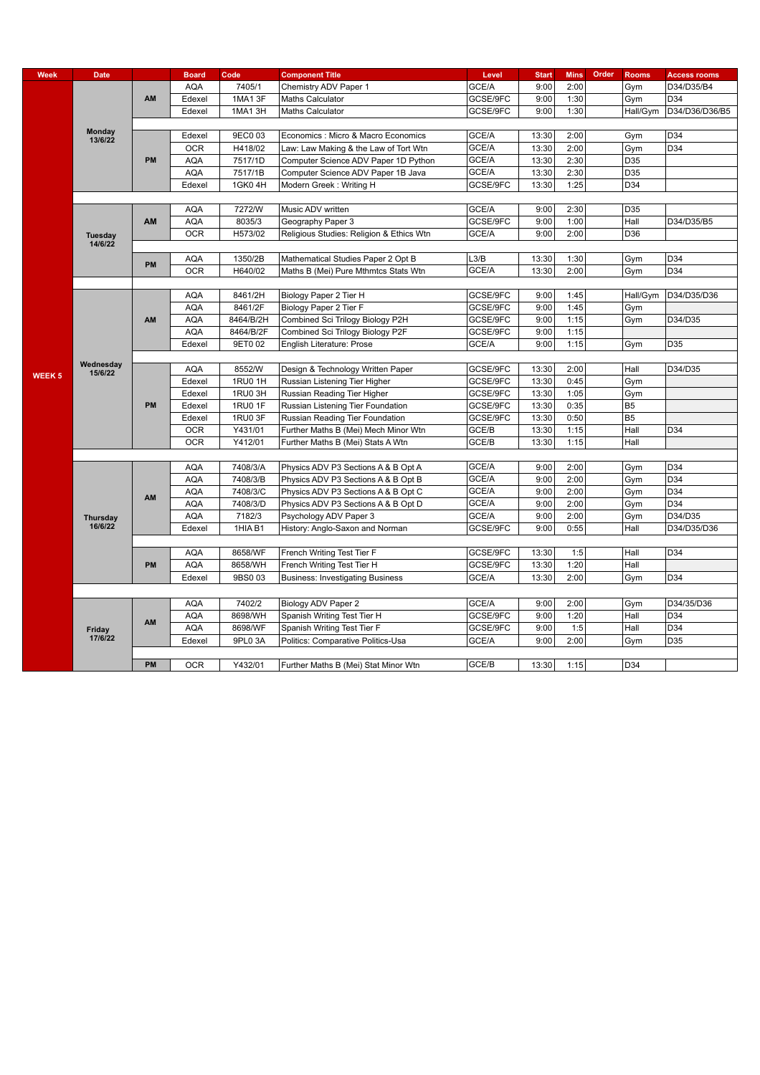| <b>Week</b>   | <b>Date</b>                |           | <b>Board</b>             | Code                 | <b>Component Title</b>                                                     | Level          | <b>Start</b> | <b>Mins</b> | Order | <b>Rooms</b>   | <b>Access rooms</b> |
|---------------|----------------------------|-----------|--------------------------|----------------------|----------------------------------------------------------------------------|----------------|--------------|-------------|-------|----------------|---------------------|
|               |                            |           | <b>AQA</b>               | 7405/1               | Chemistry ADV Paper 1                                                      | GCE/A          | 9:00         | 2:00        |       | Gym            | D34/D35/B4          |
|               |                            | AM        | Edexel                   | 1MA1 3F              | Maths Calculator                                                           | GCSE/9FC       | 9:00         | 1:30        |       | Gym            | D34                 |
|               |                            |           | Edexel                   | 1MA1 3H              | Maths Calculator                                                           | GCSE/9FC       | 9:00         | 1:30        |       | Hall/Gym       | D34/D36/D36/B5      |
|               |                            |           |                          |                      |                                                                            |                |              |             |       |                |                     |
|               | <b>Monday</b><br>13/6/22   |           | Edexel                   | 9EC0 03              | Economics : Micro & Macro Economics                                        | GCE/A          | 13:30        | 2:00        |       | Gym            | D34                 |
|               |                            |           | <b>OCR</b>               | H418/02              | Law: Law Making & the Law of Tort Wtn                                      | GCE/A          | 13:30        | 2:00        |       | Gym            | D34                 |
|               |                            | <b>PM</b> | <b>AQA</b>               | 7517/1D              | Computer Science ADV Paper 1D Python                                       | GCE/A          | 13:30        | 2:30        |       | D35            |                     |
|               |                            |           | <b>AQA</b>               | 7517/1B              | Computer Science ADV Paper 1B Java                                         | GCE/A          | 13:30        | 2:30        |       | D35            |                     |
|               |                            |           | Edexel                   | 1GK04H               | Modern Greek: Writing H                                                    | GCSE/9FC       | 13:30        | 1:25        |       | D34            |                     |
|               |                            |           |                          |                      |                                                                            |                |              |             |       |                |                     |
|               |                            |           | <b>AQA</b>               | 7272/W               | Music ADV written                                                          | GCE/A          | 9:00         | 2:30        |       | D35            |                     |
|               |                            | AM        | <b>AQA</b>               | 8035/3               | Geography Paper 3                                                          | GCSE/9FC       | 9:00         | 1:00        |       | Hall           | D34/D35/B5          |
|               | <b>Tuesday</b>             |           | <b>OCR</b>               | H573/02              | Religious Studies: Religion & Ethics Wtn                                   | GCE/A          | 9:00         | 2:00        |       | D36            |                     |
|               | 14/6/22                    |           |                          |                      |                                                                            |                |              |             |       |                |                     |
|               |                            | <b>PM</b> | <b>AQA</b>               | 1350/2B              | Mathematical Studies Paper 2 Opt B                                         | L3/B           | 13:30        | 1:30        |       | Gym            | D34                 |
|               |                            |           | <b>OCR</b>               | H640/02              | Maths B (Mei) Pure Mthmtcs Stats Wtn                                       | GCE/A          | 13:30        | 2:00        |       | Gym            | D34                 |
|               |                            |           |                          |                      |                                                                            |                |              |             |       |                |                     |
|               |                            |           | <b>AQA</b>               | 8461/2H              | Biology Paper 2 Tier H                                                     | GCSE/9FC       | 9:00         | 1:45        |       | Hall/Gym       | D34/D35/D36         |
| <b>WEEK 5</b> |                            |           | <b>AQA</b>               | 8461/2F              | Biology Paper 2 Tier F                                                     | GCSE/9FC       | 9:00         | 1:45        |       | Gym            |                     |
|               |                            | AM        | <b>AQA</b>               | 8464/B/2H            | Combined Sci Trilogy Biology P2H                                           | GCSE/9FC       | 9:00         | 1:15        |       | Gym            | D34/D35             |
|               |                            |           | <b>AQA</b>               | 8464/B/2F            | Combined Sci Trilogy Biology P2F                                           | GCSE/9FC       | 9:00         | 1:15        |       |                |                     |
|               |                            |           | Edexel                   | 9ET0 02              | <b>English Literature: Prose</b>                                           | GCE/A          | 9:00         | 1:15        |       | Gym            | D35                 |
|               | Wednesday                  |           |                          |                      |                                                                            |                |              |             |       |                |                     |
|               | 15/6/22                    |           | <b>AQA</b>               | 8552/W               | Design & Technology Written Paper                                          | GCSE/9FC       | 13:30        | 2:00        |       | Hall           | D34/D35             |
|               |                            |           | Edexel                   | 1RU0 1H              | Russian Listening Tier Higher                                              | GCSE/9FC       | 13:30        | 0:45        |       | Gym            |                     |
|               |                            |           | Edexel                   | 1RU03H               | Russian Reading Tier Higher                                                | GCSE/9FC       | 13:30        | 1:05        |       | Gym            |                     |
|               |                            | PM        | Edexel                   | <b>1RU0 1F</b>       | Russian Listening Tier Foundation                                          | GCSE/9FC       | 13:30        | 0:35        |       | B <sub>5</sub> |                     |
|               |                            |           | Edexel                   | 1RU0 3F              | Russian Reading Tier Foundation                                            | GCSE/9FC       | 13:30        | 0:50        |       | <b>B5</b>      |                     |
|               |                            |           | <b>OCR</b>               | Y431/01              | Further Maths B (Mei) Mech Minor Wtn                                       | GCE/B          | 13:30        | 1:15        |       | Hall           | D34                 |
|               |                            |           | <b>OCR</b>               | Y412/01              | Further Maths B (Mei) Stats A Wtn                                          | GCE/B          | 13:30        | 1:15        |       | Hall           |                     |
|               |                            |           |                          |                      |                                                                            |                |              | 2:00        |       |                | D34                 |
|               |                            |           | <b>AQA</b><br><b>AQA</b> | 7408/3/A<br>7408/3/B | Physics ADV P3 Sections A & B Opt A<br>Physics ADV P3 Sections A & B Opt B | GCE/A<br>GCE/A | 9:00<br>9:00 | 2:00        |       | Gym<br>Gym     | D34                 |
|               |                            |           | <b>AQA</b>               | 7408/3/C             | Physics ADV P3 Sections A & B Opt C                                        | GCE/A          | 9:00         | 2:00        |       | Gym            | D34                 |
|               |                            | AM        | <b>AQA</b>               | 7408/3/D             | Physics ADV P3 Sections A & B Opt D                                        | GCE/A          | 9:00         | 2:00        |       | Gym            | D34                 |
|               |                            |           | <b>AQA</b>               | 7182/3               | Psychology ADV Paper 3                                                     | GCE/A          | 9:00         | 2:00        |       | Gym            | D34/D35             |
|               | <b>Thursday</b><br>16/6/22 |           | Edexel                   | 1HIA B1              | History: Anglo-Saxon and Norman                                            | GCSE/9FC       | 9:00         | 0:55        |       | Hall           | D34/D35/D36         |
|               |                            |           |                          |                      |                                                                            |                |              |             |       |                |                     |
|               |                            |           | <b>AQA</b>               | 8658/WF              | French Writing Test Tier F                                                 | GCSE/9FC       | 13:30        | 1:5         |       | Hall           | D34                 |
|               |                            | <b>PM</b> | <b>AQA</b>               | 8658/WH              | French Writing Test Tier H                                                 | GCSE/9FC       | 13:30        | 1:20        |       | Hall           |                     |
|               |                            |           | Edexel                   | 9BS003               | <b>Business: Investigating Business</b>                                    | GCE/A          | 13:30        | 2:00        |       | Gym            | D34                 |
|               |                            |           |                          |                      |                                                                            |                |              |             |       |                |                     |
|               |                            |           | <b>AQA</b>               | 7402/2               | Biology ADV Paper 2                                                        | GCE/A          | 9:00         | 2:00        |       | Gym            | D34/35/D36          |
|               |                            |           | <b>AQA</b>               | 8698/WH              | Spanish Writing Test Tier H                                                | GCSE/9FC       | 9:00         | 1:20        |       | Hall           | D34                 |
|               |                            | AM        | <b>AQA</b>               | 8698/WF              | Spanish Writing Test Tier F                                                | GCSE/9FC       | 9:00         | 1:5         |       | Hall           | D34                 |
|               | Friday<br>17/6/22          |           | Edexel                   | 9PL0 3A              | Politics: Comparative Politics-Usa                                         | GCE/A          | 9:00         | 2:00        |       | Gym            | D35                 |
|               |                            |           |                          |                      |                                                                            |                |              |             |       |                |                     |
|               |                            |           |                          |                      |                                                                            |                |              |             |       |                |                     |